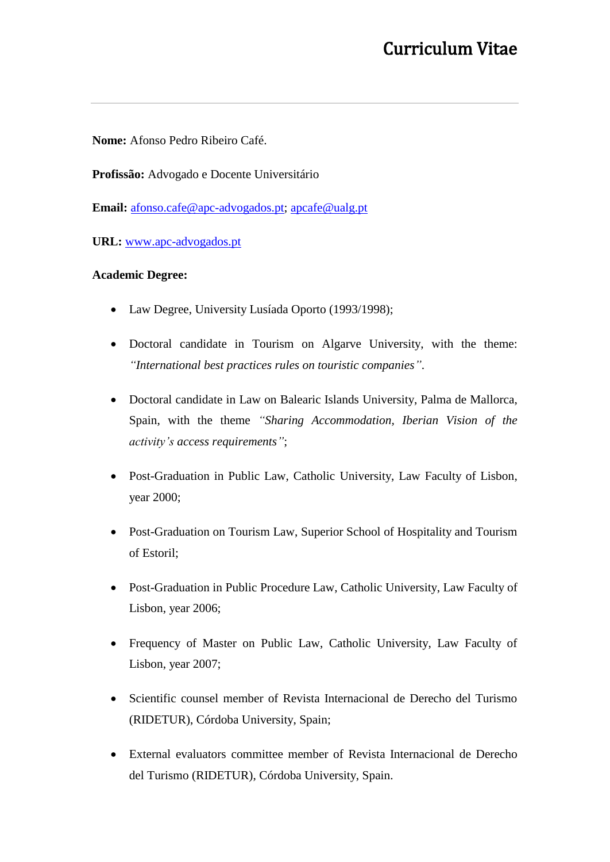**Nome:** Afonso Pedro Ribeiro Café.

**Profissão:** Advogado e Docente Universitário

**Email:** [afonso.cafe@apc-advogados.pt;](mailto:afonso.cafe@apc-advogados.pt) [apcafe@ualg.pt](mailto:apcafe@ualg.pt)

**URL:** [www.apc-advogados.pt](http://www.apc-advogados.pt/)

### **Academic Degree:**

- Law Degree, University Lusíada Oporto (1993/1998);
- Doctoral candidate in Tourism on Algarve University, with the theme: *"International best practices rules on touristic companies"*.
- Doctoral candidate in Law on Balearic Islands University, Palma de Mallorca, Spain, with the theme *"Sharing Accommodation, Iberian Vision of the activity's access requirements"*;
- Post-Graduation in Public Law, Catholic University, Law Faculty of Lisbon, year 2000;
- Post-Graduation on Tourism Law, Superior School of Hospitality and Tourism of Estoril;
- Post-Graduation in Public Procedure Law, Catholic University, Law Faculty of Lisbon, year 2006;
- Frequency of Master on Public Law, Catholic University, Law Faculty of Lisbon, year 2007;
- Scientific counsel member of Revista Internacional de Derecho del Turismo (RIDETUR), Córdoba University, Spain;
- External evaluators committee member of Revista Internacional de Derecho del Turismo (RIDETUR), Córdoba University, Spain.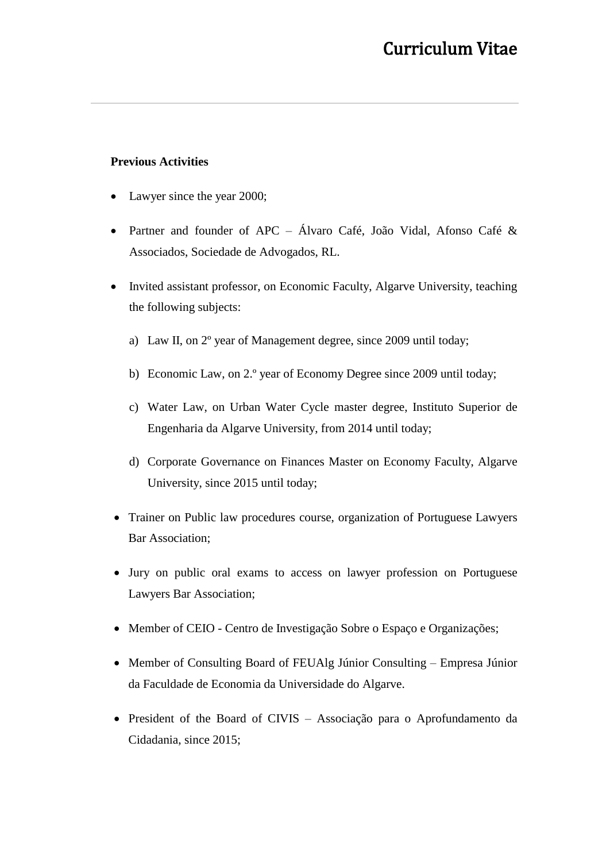#### **Previous Activities**

- Lawyer since the year 2000;
- Partner and founder of APC Álvaro Café, João Vidal, Afonso Café & Associados, Sociedade de Advogados, RL.
- Invited assistant professor, on Economic Faculty, Algarve University, teaching the following subjects:
	- a) Law II, on 2º year of Management degree, since 2009 until today;
	- b) Economic Law, on 2.º year of Economy Degree since 2009 until today;
	- c) Water Law, on Urban Water Cycle master degree, Instituto Superior de Engenharia da Algarve University, from 2014 until today;
	- d) Corporate Governance on Finances Master on Economy Faculty, Algarve University, since 2015 until today;
- Trainer on Public law procedures course, organization of Portuguese Lawyers Bar Association;
- Jury on public oral exams to access on lawyer profession on Portuguese Lawyers Bar Association;
- Member of CEIO Centro de Investigação Sobre o Espaço e Organizações;
- Member of Consulting Board of FEUAlg Júnior Consulting Empresa Júnior da Faculdade de Economia da Universidade do Algarve.
- President of the Board of CIVIS Associação para o Aprofundamento da Cidadania, since 2015;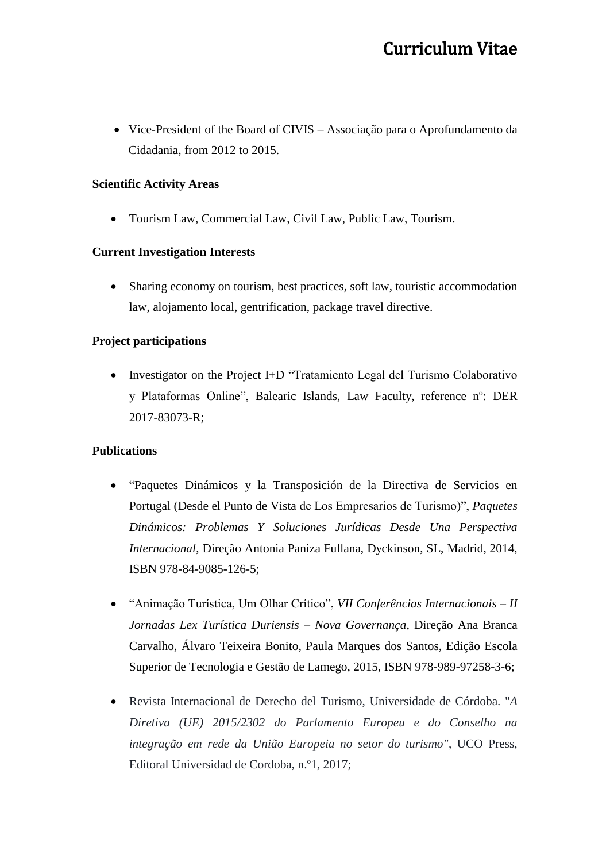• Vice-President of the Board of CIVIS – Associação para o Aprofundamento da Cidadania, from 2012 to 2015.

## **Scientific Activity Areas**

• Tourism Law, Commercial Law, Civil Law, Public Law, Tourism.

### **Current Investigation Interests**

Sharing economy on tourism, best practices, soft law, touristic accommodation law, alojamento local, gentrification, package travel directive.

### **Project participations**

• Investigator on the Project I+D "Tratamiento Legal del Turismo Colaborativo y Plataformas Online", Balearic Islands, Law Faculty, reference nº: DER 2017-83073-R;

### **Publications**

- "Paquetes Dinámicos y la Transposición de la Directiva de Servicios en Portugal (Desde el Punto de Vista de Los Empresarios de Turismo)", *Paquetes Dinámicos: Problemas Y Soluciones Jurídicas Desde Una Perspectiva Internacional*, Direção Antonia Paniza Fullana, Dyckinson, SL, Madrid, 2014, ISBN 978-84-9085-126-5;
- "Animação Turística, Um Olhar Crítico", *VII Conferências Internacionais – II Jornadas Lex Turística Duriensis – Nova Governança*, Direção Ana Branca Carvalho, Álvaro Teixeira Bonito, Paula Marques dos Santos, Edição Escola Superior de Tecnologia e Gestão de Lamego, 2015, ISBN 978-989-97258-3-6;
- Revista Internacional de Derecho del Turismo, Universidade de Córdoba. "*A Diretiva (UE) 2015/2302 do Parlamento Europeu e do Conselho na integração em rede da União Europeia no setor do turismo"*, UCO Press, Editoral Universidad de Cordoba, n.º1, 2017;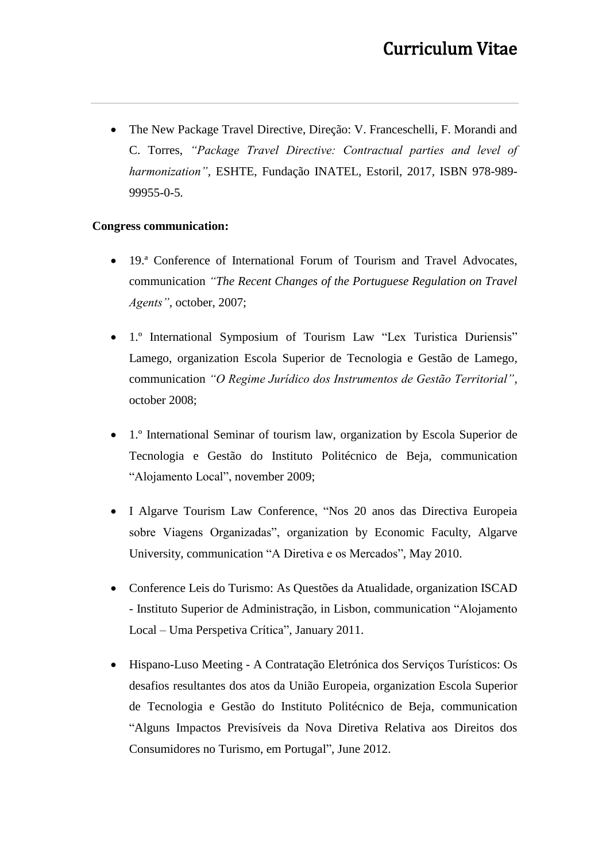• The New Package Travel Directive, Direção: V. Franceschelli, F. Morandi and C. Torres, *"Package Travel Directive: Contractual parties and level of harmonization"*, ESHTE, Fundação INATEL, Estoril, 2017, ISBN 978-989- 99955-0-5*.*

### **Congress communication:**

- 19.ª Conference of International Forum of Tourism and Travel Advocates, communication *"The Recent Changes of the Portuguese Regulation on Travel Agents",* october, 2007;
- 1.º International Symposium of Tourism Law "Lex Turistica Duriensis" Lamego, organization Escola Superior de Tecnologia e Gestão de Lamego, communication *"O Regime Jurídico dos Instrumentos de Gestão Territorial"*, october 2008;
- 1.º International Seminar of tourism law, organization by Escola Superior de Tecnologia e Gestão do Instituto Politécnico de Beja, communication "Alojamento Local", november 2009;
- I Algarve Tourism Law Conference, "Nos 20 anos das Directiva Europeia sobre Viagens Organizadas", organization by Economic Faculty, Algarve University, communication "A Diretiva e os Mercados", May 2010.
- Conference Leis do Turismo: As Questões da Atualidade, organization ISCAD - Instituto Superior de Administração, in Lisbon, communication "Alojamento Local – Uma Perspetiva Crítica", January 2011.
- Hispano-Luso Meeting A Contratação Eletrónica dos Serviços Turísticos: Os desafios resultantes dos atos da União Europeia, organization Escola Superior de Tecnologia e Gestão do Instituto Politécnico de Beja, communication "Alguns Impactos Previsíveis da Nova Diretiva Relativa aos Direitos dos Consumidores no Turismo, em Portugal", June 2012.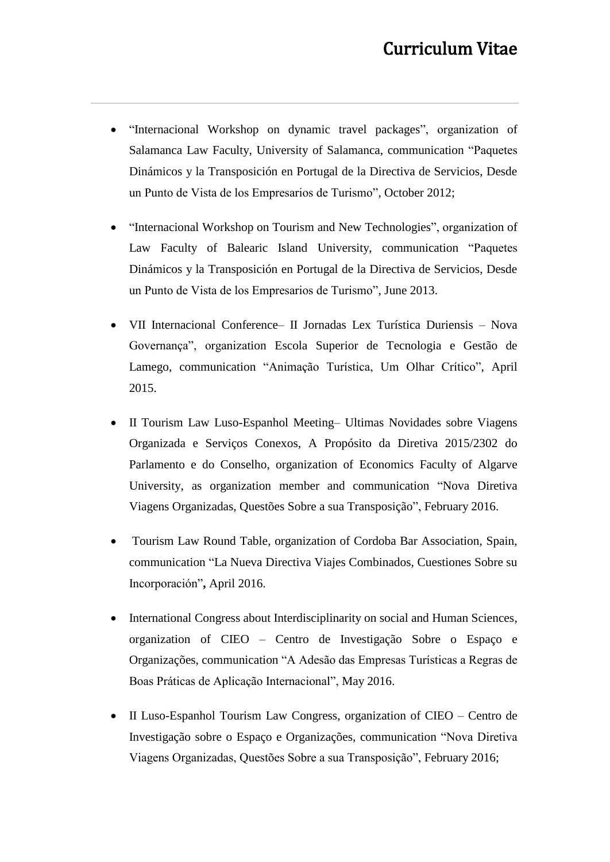- "Internacional Workshop on dynamic travel packages", organization of Salamanca Law Faculty, University of Salamanca, communication "Paquetes Dinámicos y la Transposición en Portugal de la Directiva de Servicios, Desde un Punto de Vista de los Empresarios de Turismo", October 2012;
- "Internacional Workshop on Tourism and New Technologies", organization of Law Faculty of Balearic Island University, communication "Paquetes Dinámicos y la Transposición en Portugal de la Directiva de Servicios, Desde un Punto de Vista de los Empresarios de Turismo", June 2013.
- VII Internacional Conference– II Jornadas Lex Turística Duriensis Nova Governança", organization Escola Superior de Tecnologia e Gestão de Lamego, communication "Animação Turística, Um Olhar Crítico", April 2015.
- II Tourism Law Luso-Espanhol Meeting– Ultimas Novidades sobre Viagens Organizada e Serviços Conexos, A Propósito da Diretiva 2015/2302 do Parlamento e do Conselho, organization of Economics Faculty of Algarve University, as organization member and communication "Nova Diretiva Viagens Organizadas, Questões Sobre a sua Transposição", February 2016.
- Tourism Law Round Table, organization of Cordoba Bar Association, Spain, communication "La Nueva Directiva Viajes Combinados, Cuestiones Sobre su Incorporación"**,** April 2016.
- International Congress about Interdisciplinarity on social and Human Sciences, organization of CIEO – Centro de Investigação Sobre o Espaço e Organizações, communication "A Adesão das Empresas Turísticas a Regras de Boas Práticas de Aplicação Internacional", May 2016.
- II Luso-Espanhol Tourism Law Congress, organization of CIEO Centro de Investigação sobre o Espaço e Organizações, communication "Nova Diretiva Viagens Organizadas, Questões Sobre a sua Transposição", February 2016;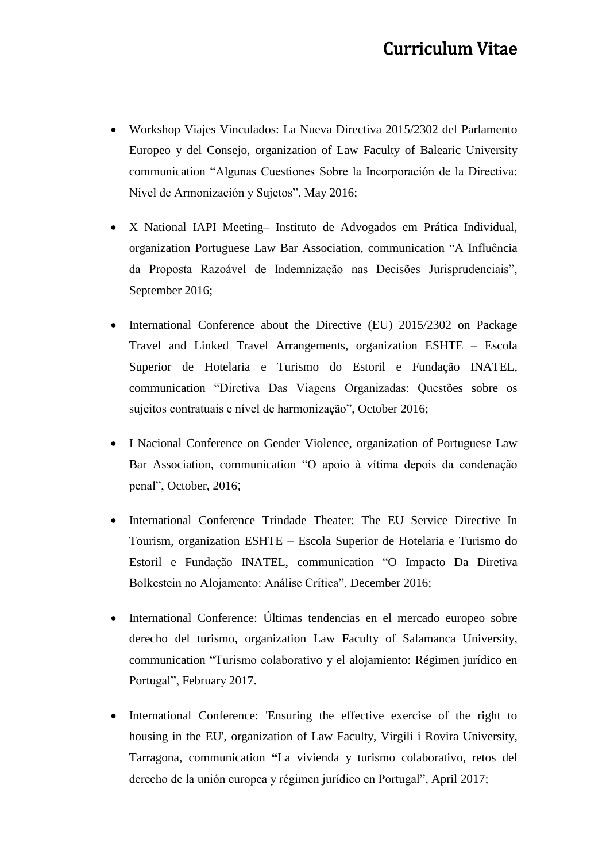- Workshop Viajes Vinculados: La Nueva Directiva 2015/2302 del Parlamento Europeo y del Consejo, organization of Law Faculty of Balearic University communication "Algunas Cuestiones Sobre la Incorporación de la Directiva: Nivel de Armonización y Sujetos", May 2016;
- X National IAPI Meeting– Instituto de Advogados em Prática Individual, organization Portuguese Law Bar Association, communication "A Influência da Proposta Razoável de Indemnização nas Decisões Jurisprudenciais", September 2016;
- International Conference about the Directive (EU) 2015/2302 on Package Travel and Linked Travel Arrangements, organization ESHTE – Escola Superior de Hotelaria e Turismo do Estoril e Fundação INATEL, communication "Diretiva Das Viagens Organizadas: Questões sobre os sujeitos contratuais e nível de harmonização", October 2016;
- I Nacional Conference on Gender Violence, organization of Portuguese Law Bar Association, communication "O apoio à vítima depois da condenação penal", October, 2016;
- International Conference Trindade Theater: The EU Service Directive In Tourism, organization ESHTE – Escola Superior de Hotelaria e Turismo do Estoril e Fundação INATEL, communication "O Impacto Da Diretiva Bolkestein no Alojamento: Análise Crítica", December 2016;
- International Conference: Últimas tendencias en el mercado europeo sobre derecho del turismo, organization Law Faculty of Salamanca University, communication "Turismo colaborativo y el alojamiento: Régimen jurídico en Portugal", February 2017.
- International Conference: 'Ensuring the effective exercise of the right to housing in the EU', organization of Law Faculty, Virgili i Rovira University, Tarragona, communication **"**La vivienda y turismo colaborativo, retos del derecho de la unión europea y régimen jurídico en Portugal", April 2017;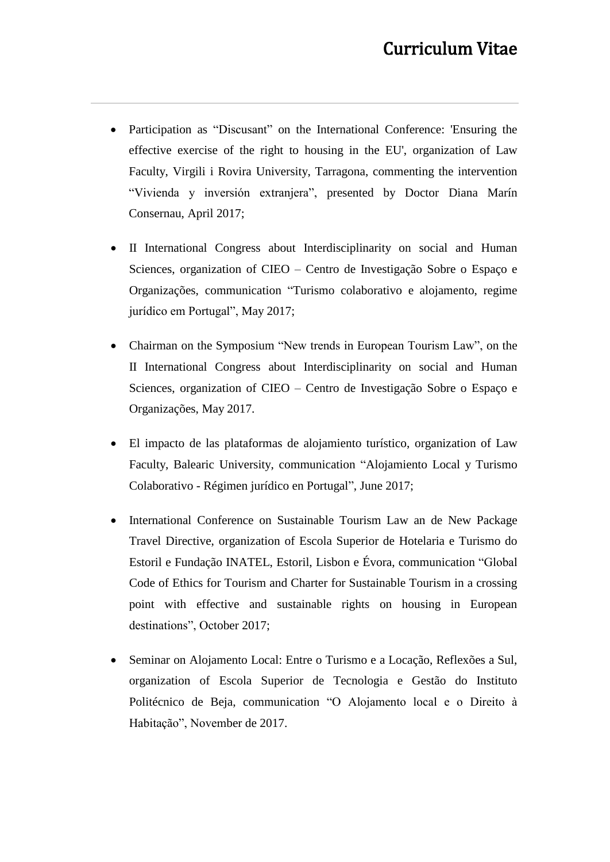- Participation as "Discusant" on the International Conference: 'Ensuring the effective exercise of the right to housing in the EU', organization of Law Faculty, Virgili i Rovira University, Tarragona, commenting the intervention "Vivienda y inversión extranjera", presented by Doctor Diana Marín Consernau, April 2017;
- II International Congress about Interdisciplinarity on social and Human Sciences, organization of CIEO – Centro de Investigação Sobre o Espaço e Organizações, communication "Turismo colaborativo e alojamento, regime jurídico em Portugal", May 2017;
- Chairman on the Symposium "New trends in European Tourism Law", on the II International Congress about Interdisciplinarity on social and Human Sciences, organization of CIEO – Centro de Investigação Sobre o Espaço e Organizações, May 2017.
- El impacto de las plataformas de alojamiento turístico, organization of Law Faculty, Balearic University, communication "Alojamiento Local y Turismo Colaborativo - Régimen jurídico en Portugal", June 2017;
- International Conference on Sustainable Tourism Law an de New Package Travel Directive, organization of Escola Superior de Hotelaria e Turismo do Estoril e Fundação INATEL, Estoril, Lisbon e Évora, communication "Global Code of Ethics for Tourism and Charter for Sustainable Tourism in a crossing point with effective and sustainable rights on housing in European destinations", October 2017;
- Seminar on Alojamento Local: Entre o Turismo e a Locação, Reflexões a Sul, organization of Escola Superior de Tecnologia e Gestão do Instituto Politécnico de Beja, communication "O Alojamento local e o Direito à Habitação", November de 2017.